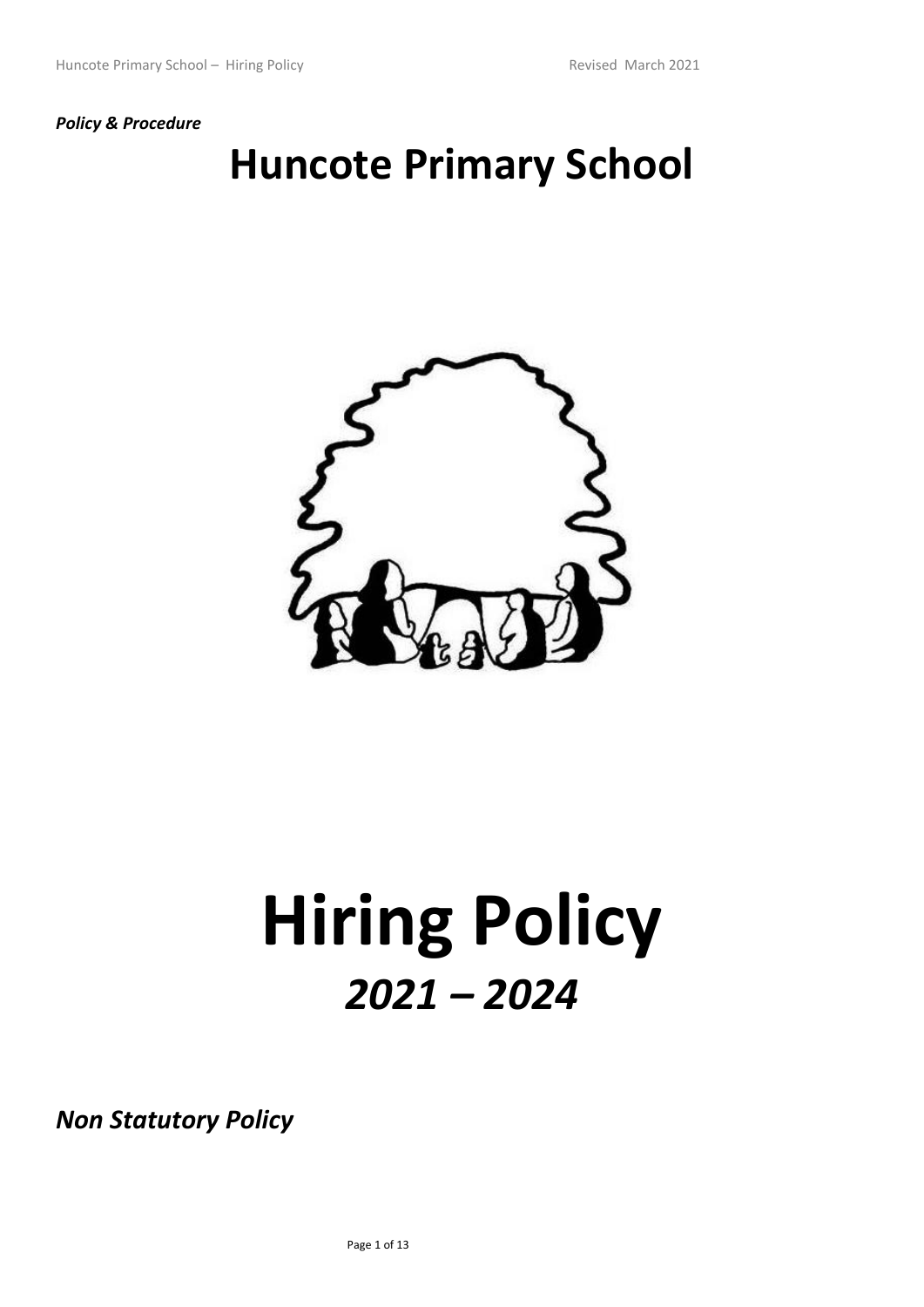## *Policy & Procedure*

## **Huncote Primary School**



# **Hiring Policy**  *2021 – 2024*

*Non Statutory Policy*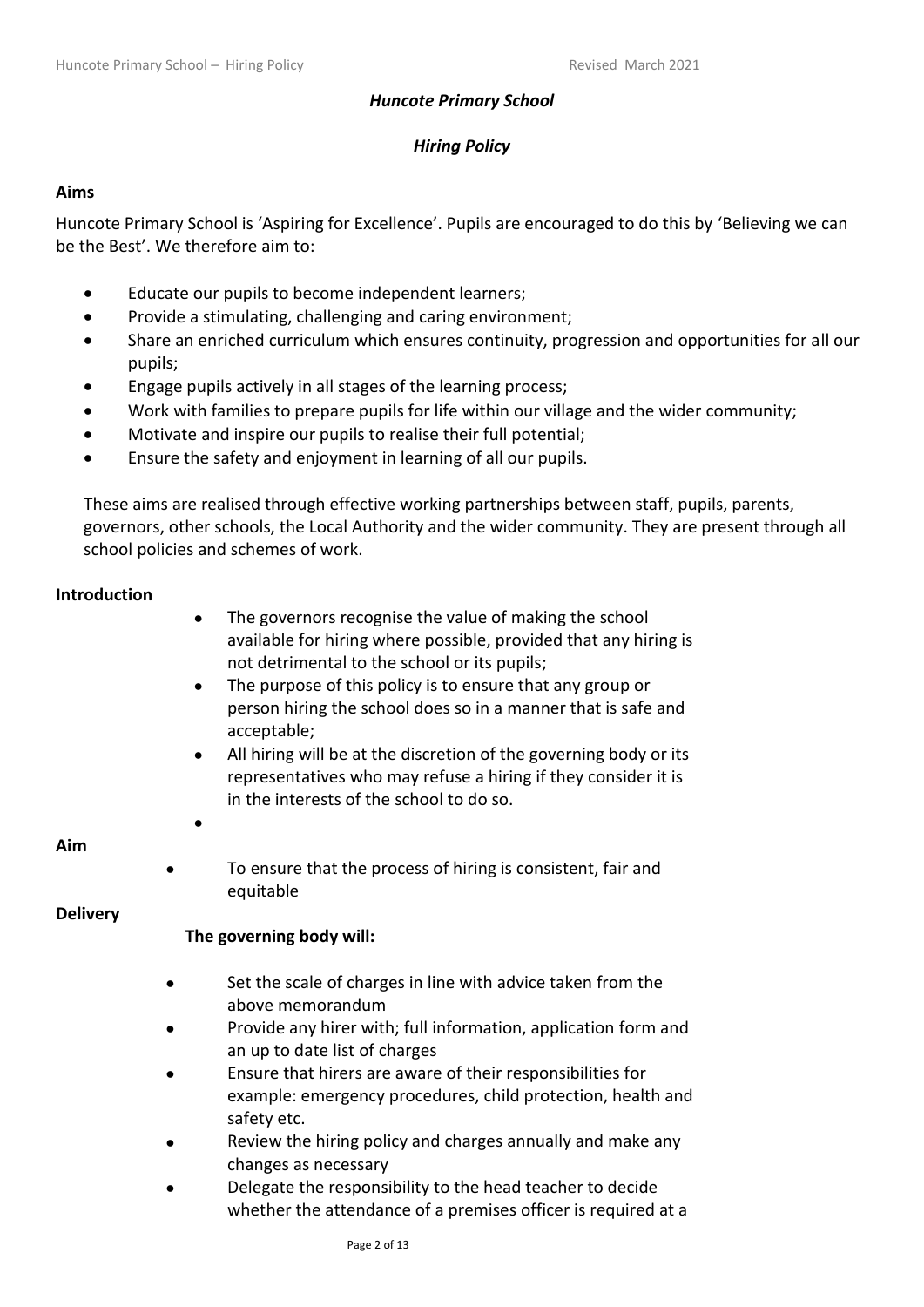## *Huncote Primary School*

## *Hiring Policy*

## **Aims**

Huncote Primary School is 'Aspiring for Excellence'. Pupils are encouraged to do this by 'Believing we can be the Best'. We therefore aim to:

- Educate our pupils to become independent learners;
- Provide a stimulating, challenging and caring environment;
- Share an enriched curriculum which ensures continuity, progression and opportunities for all our pupils;
- Engage pupils actively in all stages of the learning process;
- Work with families to prepare pupils for life within our village and the wider community;
- Motivate and inspire our pupils to realise their full potential:
- Ensure the safety and enjoyment in learning of all our pupils.

These aims are realised through effective working partnerships between staff, pupils, parents, governors, other schools, the Local Authority and the wider community. They are present through all school policies and schemes of work.

## **Introduction**

- The governors recognise the value of making the school available for hiring where possible, provided that any hiring is not detrimental to the school or its pupils;
- The purpose of this policy is to ensure that any group or person hiring the school does so in a manner that is safe and acceptable;
- All hiring will be at the discretion of the governing body or its representatives who may refuse a hiring if they consider it is in the interests of the school to do so.

## **Aim**

To ensure that the process of hiring is consistent, fair and equitable

## **Delivery**

## **The governing body will:**

•

- Set the scale of charges in line with advice taken from the above memorandum
- Provide any hirer with; full information, application form and an up to date list of charges
- Ensure that hirers are aware of their responsibilities for example: emergency procedures, child protection, health and safety etc.
- Review the hiring policy and charges annually and make any changes as necessary
- Delegate the responsibility to the head teacher to decide whether the attendance of a premises officer is required at a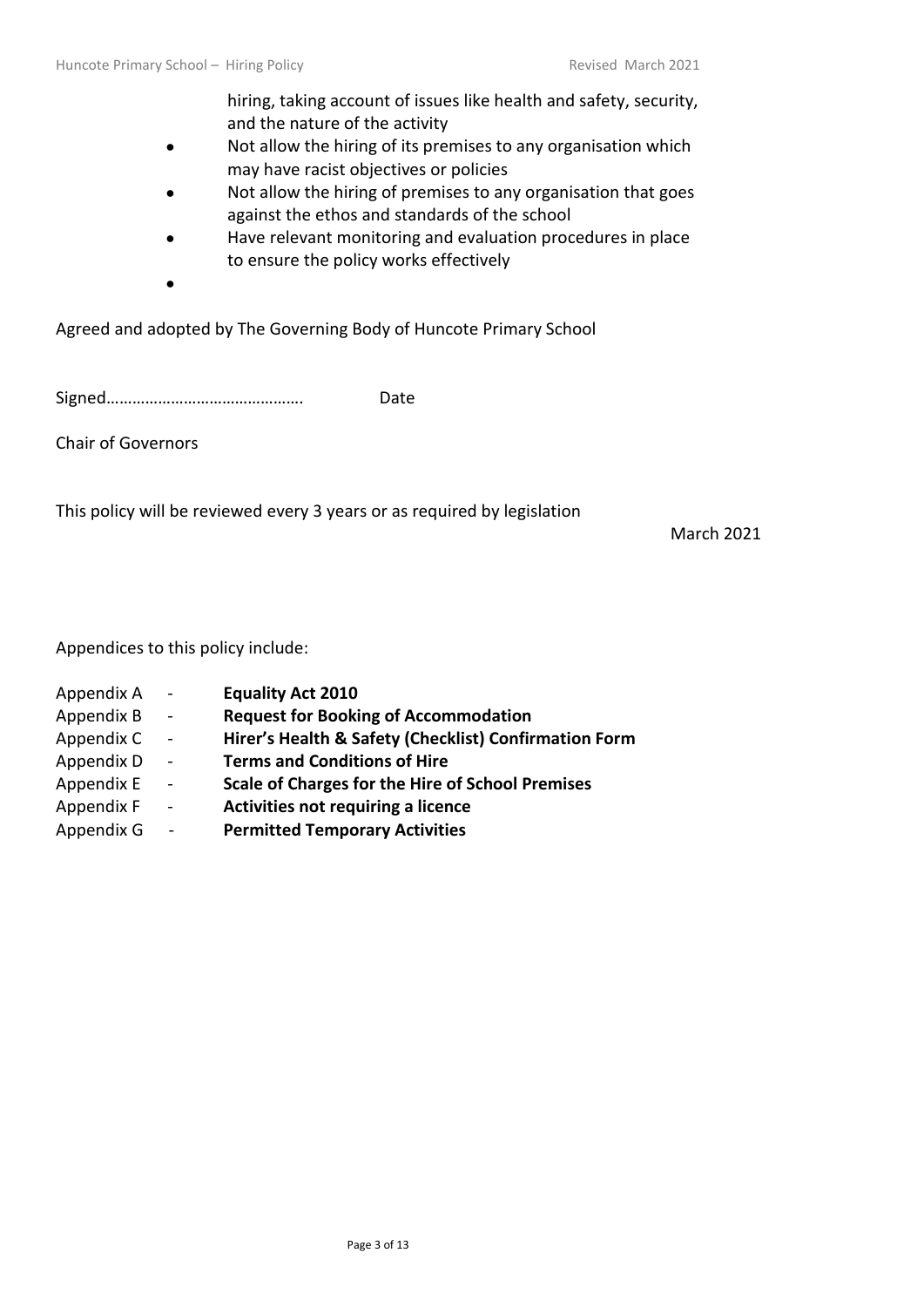hiring, taking account of issues like health and safety, security, and the nature of the activity

- Not allow the hiring of its premises to any organisation which may have racist objectives or policies
- Not allow the hiring of premises to any organisation that goes against the ethos and standards of the school
- Have relevant monitoring and evaluation procedures in place to ensure the policy works effectively
- •

Agreed and adopted by The Governing Body of Huncote Primary School

Signed………………………………………. Date

Chair of Governors

This policy will be reviewed every 3 years or as required by legislation

March 2021

Appendices to this policy include:

- Appendix A **Equality Act 2010** Appendix B - **Request for Booking of Accommodation**
- Appendix C **Hirer's Health & Safety (Checklist) Confirmation Form**
- Appendix D **Terms and Conditions of Hire**
- Appendix E **Scale of Charges for the Hire of School Premises**
- Appendix F **Activities not requiring a licence**
- Appendix G **Permitted Temporary Activities**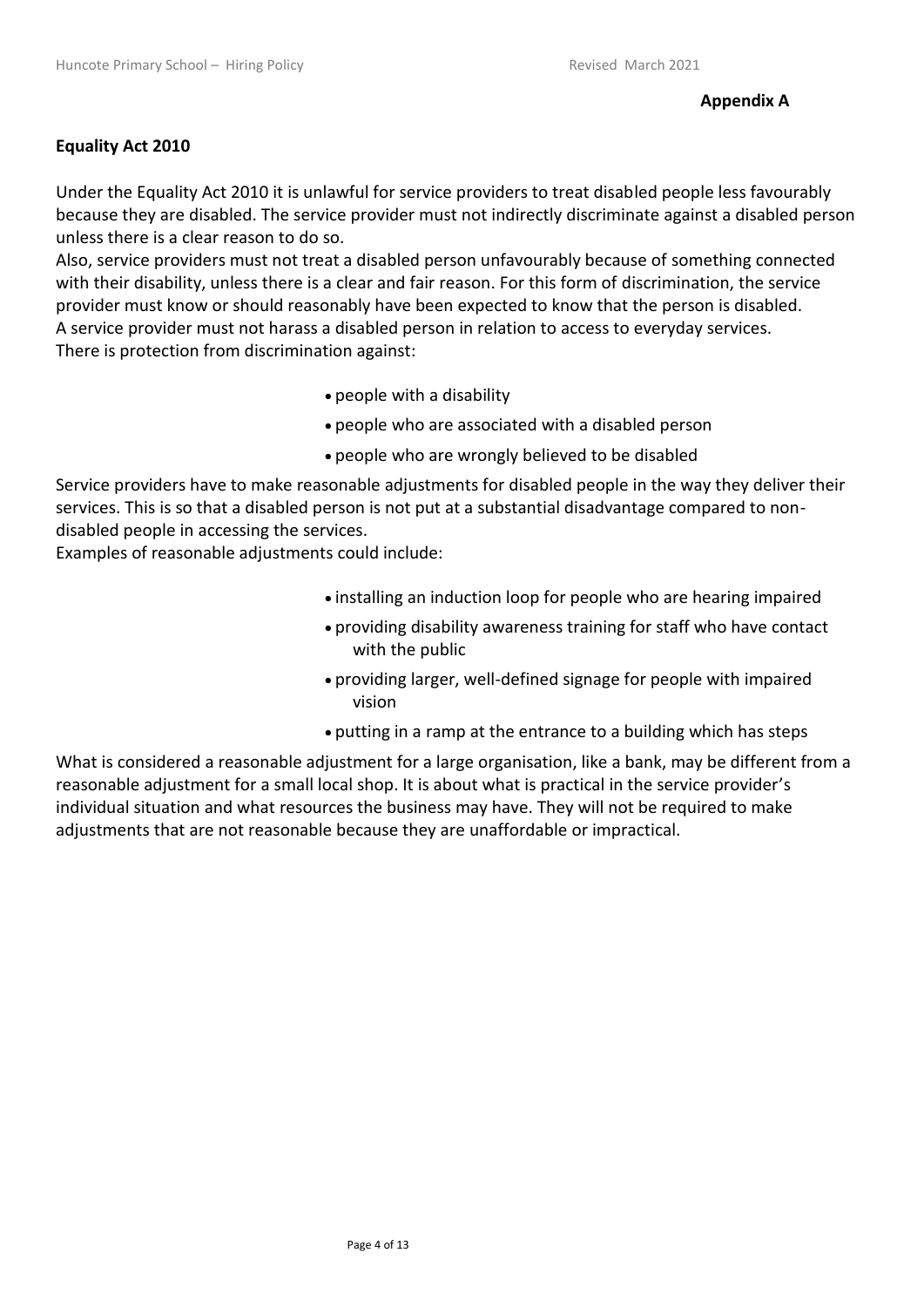## **Equality Act 2010**

Under the Equality Act 2010 it is unlawful for service providers to treat disabled people less favourably because they are disabled. The service provider must not indirectly discriminate against a disabled person unless there is a clear reason to do so.

Also, service providers must not treat a disabled person unfavourably because of something connected with their disability, unless there is a clear and fair reason. For this form of discrimination, the service provider must know or should reasonably have been expected to know that the person is disabled. A service provider must not harass a disabled person in relation to access to everyday services. There is protection from discrimination against:

- people with a disability
- people who are associated with a disabled person
- people who are wrongly believed to be disabled

Service providers have to make reasonable adjustments for disabled people in the way they deliver their services. This is so that a disabled person is not put at a substantial disadvantage compared to nondisabled people in accessing the services.

Examples of reasonable adjustments could include:

- installing an induction loop for people who are hearing impaired
- providing disability awareness training for staff who have contact with the public
- providing larger, well-defined signage for people with impaired vision
- putting in a ramp at the entrance to a building which has steps

What is considered a reasonable adjustment for a large organisation, like a bank, may be different from a reasonable adjustment for a small local shop. It is about what is practical in the service provider's individual situation and what resources the business may have. They will not be required to make adjustments that are not reasonable because they are unaffordable or impractical.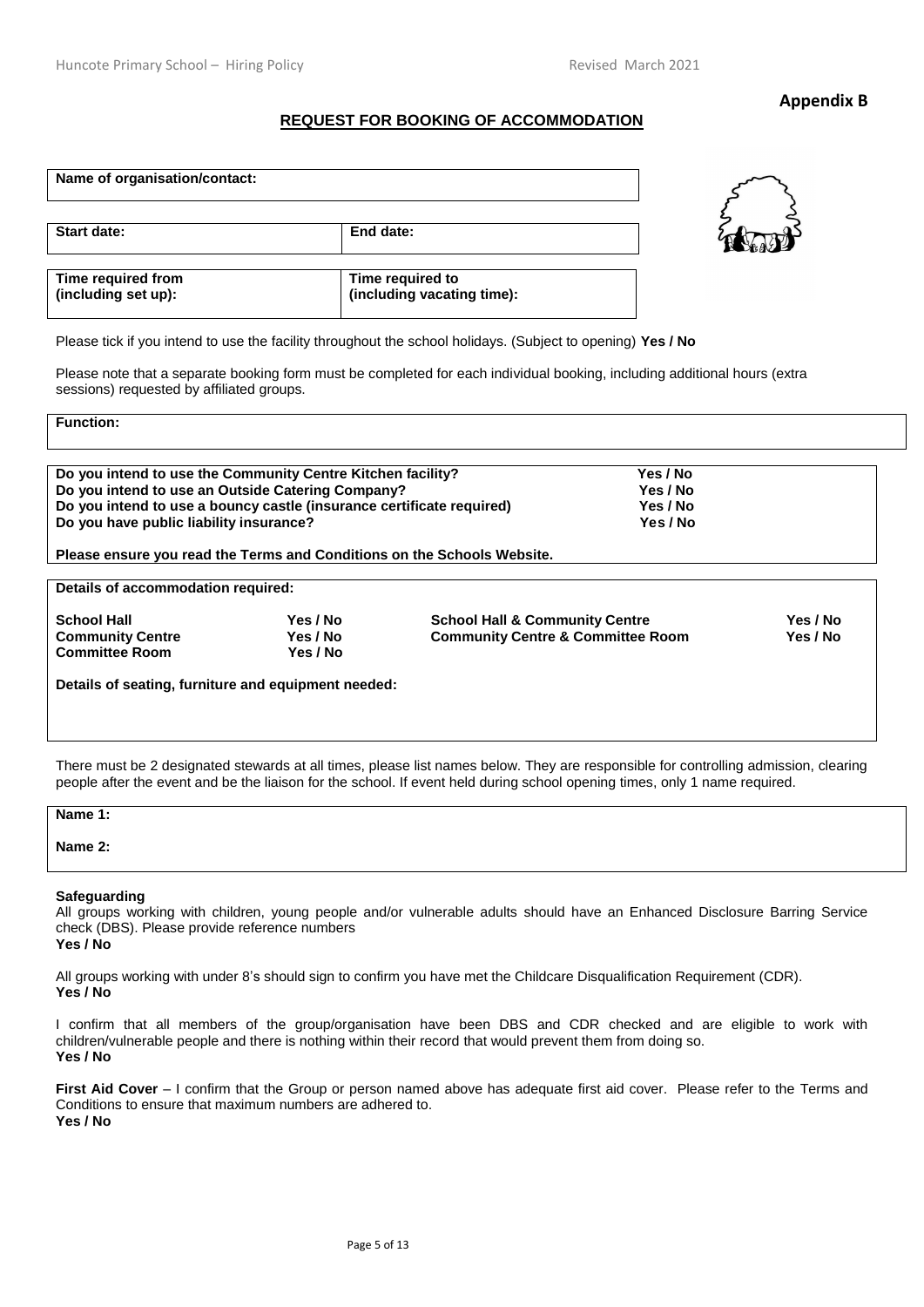#### **Appendix B**

#### **REQUEST FOR BOOKING OF ACCOMMODATION**

| Name of organisation/contact:             |                                                |
|-------------------------------------------|------------------------------------------------|
| Start date:                               | End date:                                      |
| Time required from<br>(including set up): | Time required to<br>(including vacating time): |



Please tick if you intend to use the facility throughout the school holidays. (Subject to opening) **Yes / No**

Please note that a separate booking form must be completed for each individual booking, including additional hours (extra sessions) requested by affiliated groups.

**Function:** 

| Do you intend to use the Community Centre Kitchen facility?           | Yes / No |  |
|-----------------------------------------------------------------------|----------|--|
| Do you intend to use an Outside Catering Company?                     | Yes / No |  |
| Do you intend to use a bouncy castle (insurance certificate required) | Yes / No |  |
| Do you have public liability insurance?                               | Yes / No |  |
|                                                                       |          |  |

**Please ensure you read the Terms and Conditions on the Schools Website.** 

**Details of accommodation required:**

**Committee Room** 

School Hall **The Community Centre School Hall & Community Centre** The Yes / No School Hall & Community Centre **The Solution Community Centre & Community Centre School Hall & Community Centre Room School Hall & Community Ce Yes / No Community Centre & Committee Room Yes / No** 

**Details of seating, furniture and equipment needed:** 

There must be 2 designated stewards at all times, please list names below. They are responsible for controlling admission, clearing people after the event and be the liaison for the school. If event held during school opening times, only 1 name required.

#### **Name 1:**

**Name 2:** 

#### **Safeguarding**

All groups working with children, young people and/or vulnerable adults should have an Enhanced Disclosure Barring Service check (DBS). Please provide reference numbers

**Yes / No**

All groups working with under 8's should sign to confirm you have met the Childcare Disqualification Requirement (CDR). **Yes / No**

I confirm that all members of the group/organisation have been DBS and CDR checked and are eligible to work with children/vulnerable people and there is nothing within their record that would prevent them from doing so. **Yes / No**

**First Aid Cover** – I confirm that the Group or person named above has adequate first aid cover. Please refer to the Terms and Conditions to ensure that maximum numbers are adhered to. **Yes / No**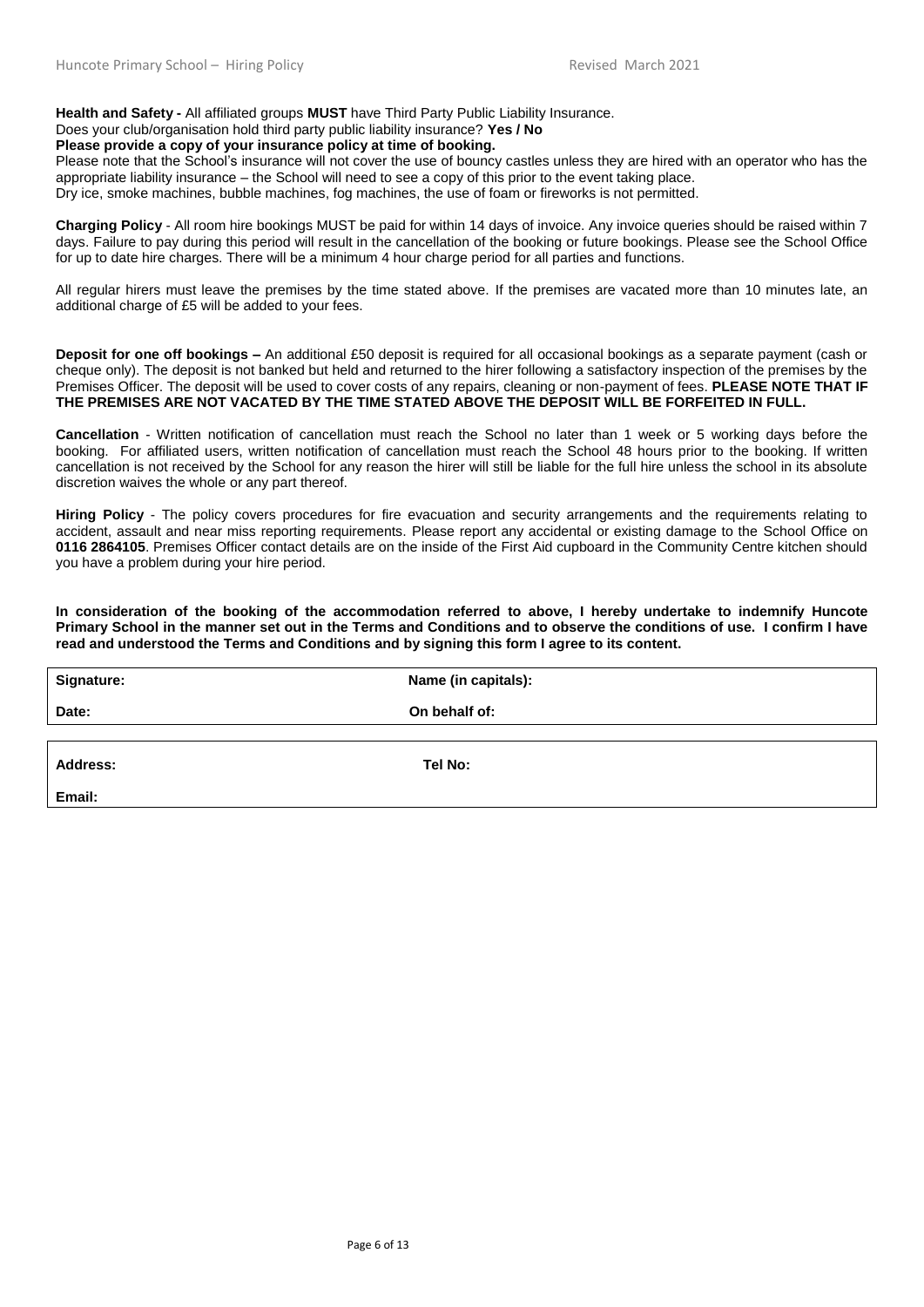**Health and Safety -** All affiliated groups **MUST** have Third Party Public Liability Insurance.

## Does your club/organisation hold third party public liability insurance? **Yes / No**

**Please provide a copy of your insurance policy at time of booking.** 

Please note that the School's insurance will not cover the use of bouncy castles unless they are hired with an operator who has the appropriate liability insurance – the School will need to see a copy of this prior to the event taking place. Dry ice, smoke machines, bubble machines, fog machines, the use of foam or fireworks is not permitted.

**Charging Policy** - All room hire bookings MUST be paid for within 14 days of invoice. Any invoice queries should be raised within 7 days. Failure to pay during this period will result in the cancellation of the booking or future bookings. Please see the School Office for up to date hire charges. There will be a minimum 4 hour charge period for all parties and functions.

All regular hirers must leave the premises by the time stated above. If the premises are vacated more than 10 minutes late, an additional charge of £5 will be added to your fees.

**Deposit for one off bookings –** An additional £50 deposit is required for all occasional bookings as a separate payment (cash or cheque only). The deposit is not banked but held and returned to the hirer following a satisfactory inspection of the premises by the Premises Officer. The deposit will be used to cover costs of any repairs, cleaning or non-payment of fees. **PLEASE NOTE THAT IF THE PREMISES ARE NOT VACATED BY THE TIME STATED ABOVE THE DEPOSIT WILL BE FORFEITED IN FULL.**

**Cancellation** - Written notification of cancellation must reach the School no later than 1 week or 5 working days before the booking. For affiliated users, written notification of cancellation must reach the School 48 hours prior to the booking. If written cancellation is not received by the School for any reason the hirer will still be liable for the full hire unless the school in its absolute discretion waives the whole or any part thereof.

**Hiring Policy** - The policy covers procedures for fire evacuation and security arrangements and the requirements relating to accident, assault and near miss reporting requirements. Please report any accidental or existing damage to the School Office on **0116 2864105**. Premises Officer contact details are on the inside of the First Aid cupboard in the Community Centre kitchen should you have a problem during your hire period.

**In consideration of the booking of the accommodation referred to above, I hereby undertake to indemnify Huncote Primary School in the manner set out in the Terms and Conditions and to observe the conditions of use. I confirm I have read and understood the Terms and Conditions and by signing this form I agree to its content.**

| <b>Signature:</b> | Name (in capitals): |
|-------------------|---------------------|
| Date:             | On behalf of:       |
|                   |                     |
| Address:          | Tel No:             |

**Email:**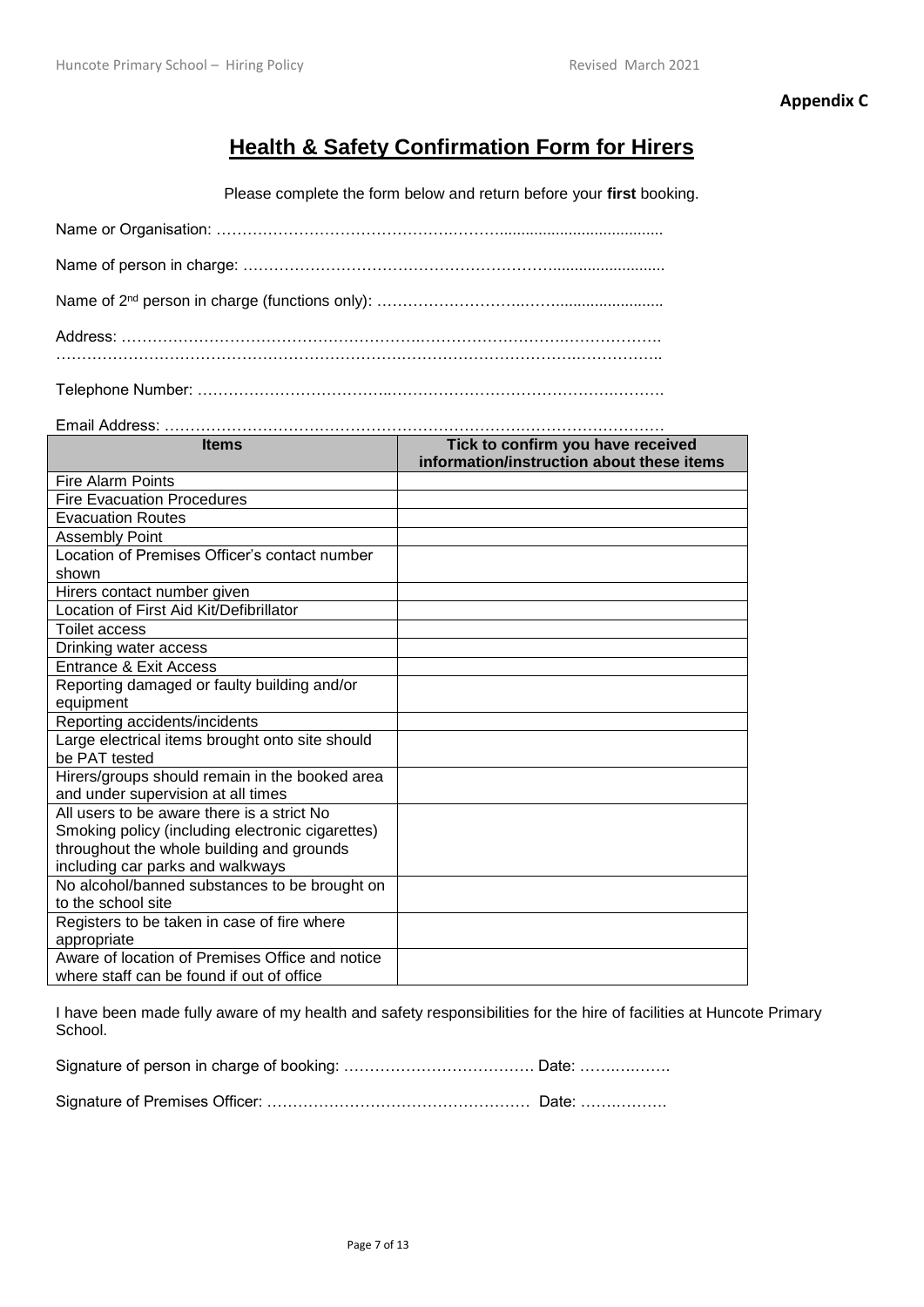**Appendix C**

## **Health & Safety Confirmation Form for Hirers**

Please complete the form below and return before your **first** booking.

Telephone Number: ………………………………..…………………………………….……….

| <b>Items</b>                                     | Tick to confirm you have received<br>information/instruction about these items |
|--------------------------------------------------|--------------------------------------------------------------------------------|
| <b>Fire Alarm Points</b>                         |                                                                                |
| <b>Fire Evacuation Procedures</b>                |                                                                                |
| <b>Evacuation Routes</b>                         |                                                                                |
| Assembly Point                                   |                                                                                |
| Location of Premises Officer's contact number    |                                                                                |
| shown                                            |                                                                                |
| Hirers contact number given                      |                                                                                |
| Location of First Aid Kit/Defibrillator          |                                                                                |
| <b>Toilet access</b>                             |                                                                                |
| Drinking water access                            |                                                                                |
| <b>Entrance &amp; Exit Access</b>                |                                                                                |
| Reporting damaged or faulty building and/or      |                                                                                |
| equipment                                        |                                                                                |
| Reporting accidents/incidents                    |                                                                                |
| Large electrical items brought onto site should  |                                                                                |
| be PAT tested                                    |                                                                                |
| Hirers/groups should remain in the booked area   |                                                                                |
| and under supervision at all times               |                                                                                |
| All users to be aware there is a strict No       |                                                                                |
| Smoking policy (including electronic cigarettes) |                                                                                |
| throughout the whole building and grounds        |                                                                                |
| including car parks and walkways                 |                                                                                |
| No alcohol/banned substances to be brought on    |                                                                                |
| to the school site                               |                                                                                |
| Registers to be taken in case of fire where      |                                                                                |
| appropriate                                      |                                                                                |
| Aware of location of Premises Office and notice  |                                                                                |
| where staff can be found if out of office        |                                                                                |

I have been made fully aware of my health and safety responsibilities for the hire of facilities at Huncote Primary School.

Signature of person in charge of booking: ………………………………. Date: …….….…….

Signature of Premises Officer: …………………………………………… Date: …….……….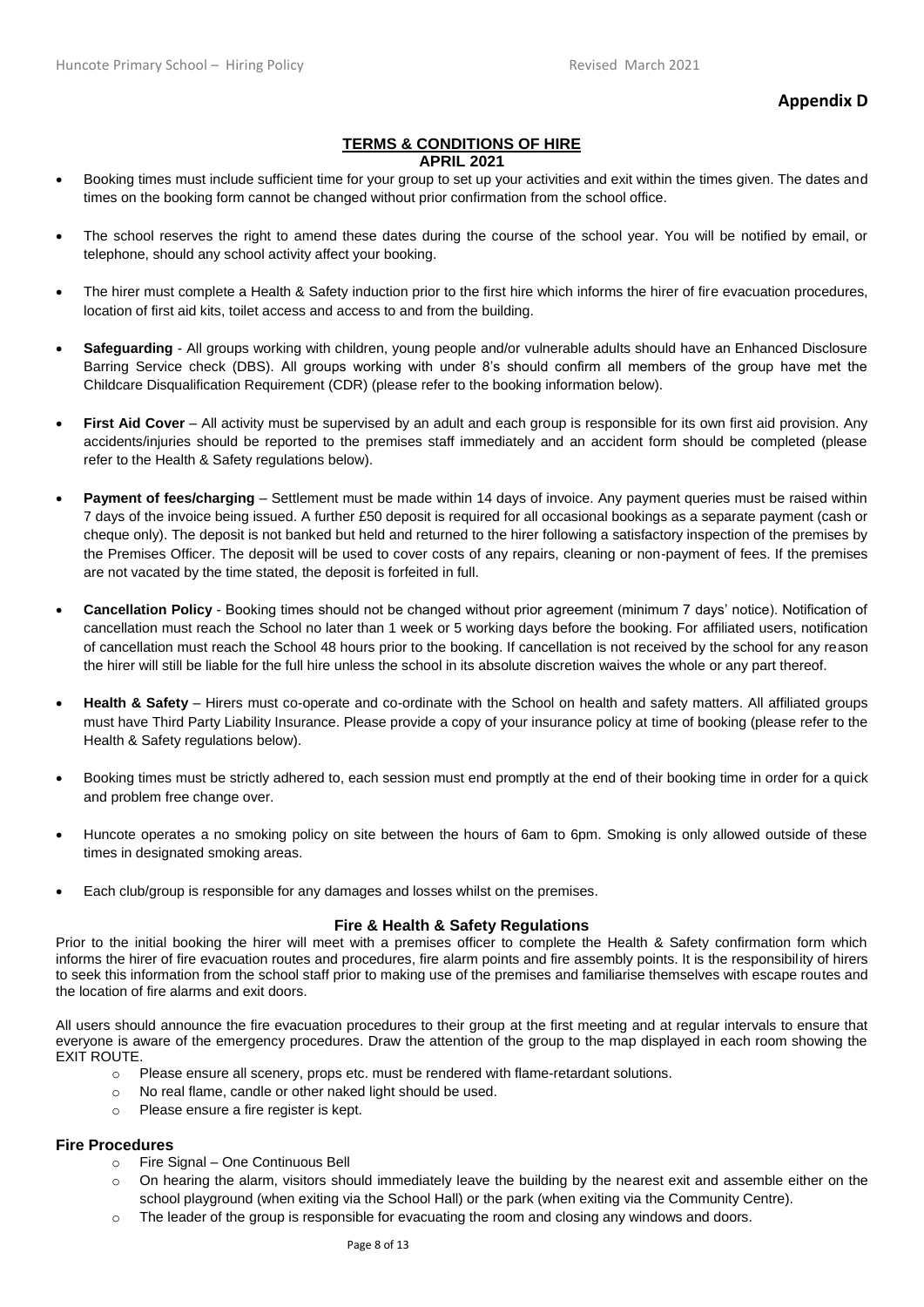#### **Appendix D**

#### **TERMS & CONDITIONS OF HIRE APRIL 2021**

- Booking times must include sufficient time for your group to set up your activities and exit within the times given. The dates and times on the booking form cannot be changed without prior confirmation from the school office.
- The school reserves the right to amend these dates during the course of the school year. You will be notified by email, or telephone, should any school activity affect your booking.
- The hirer must complete a Health & Safety induction prior to the first hire which informs the hirer of fire evacuation procedures, location of first aid kits, toilet access and access to and from the building.
- **Safeguarding** All groups working with children, young people and/or vulnerable adults should have an Enhanced Disclosure Barring Service check (DBS). All groups working with under 8's should confirm all members of the group have met the Childcare Disqualification Requirement (CDR) (please refer to the booking information below).
- First Aid Cover All activity must be supervised by an adult and each group is responsible for its own first aid provision. Any accidents/injuries should be reported to the premises staff immediately and an accident form should be completed (please refer to the Health & Safety regulations below).
- **Payment of fees/charging** Settlement must be made within 14 days of invoice. Any payment queries must be raised within 7 days of the invoice being issued. A further £50 deposit is required for all occasional bookings as a separate payment (cash or cheque only). The deposit is not banked but held and returned to the hirer following a satisfactory inspection of the premises by the Premises Officer. The deposit will be used to cover costs of any repairs, cleaning or non-payment of fees. If the premises are not vacated by the time stated, the deposit is forfeited in full.
- **Cancellation Policy** Booking times should not be changed without prior agreement (minimum 7 days' notice). Notification of cancellation must reach the School no later than 1 week or 5 working days before the booking. For affiliated users, notification of cancellation must reach the School 48 hours prior to the booking. If cancellation is not received by the school for any reason the hirer will still be liable for the full hire unless the school in its absolute discretion waives the whole or any part thereof.
- **Health & Safety** Hirers must co-operate and co-ordinate with the School on health and safety matters. All affiliated groups must have Third Party Liability Insurance. Please provide a copy of your insurance policy at time of booking (please refer to the Health & Safety regulations below).
- Booking times must be strictly adhered to, each session must end promptly at the end of their booking time in order for a quick and problem free change over.
- Huncote operates a no smoking policy on site between the hours of 6am to 6pm. Smoking is only allowed outside of these times in designated smoking areas.
- Each club/group is responsible for any damages and losses whilst on the premises.

#### **Fire & Health & Safety Regulations**

Prior to the initial booking the hirer will meet with a premises officer to complete the Health & Safety confirmation form which informs the hirer of fire evacuation routes and procedures, fire alarm points and fire assembly points. It is the responsibility of hirers to seek this information from the school staff prior to making use of the premises and familiarise themselves with escape routes and the location of fire alarms and exit doors.

All users should announce the fire evacuation procedures to their group at the first meeting and at regular intervals to ensure that everyone is aware of the emergency procedures. Draw the attention of the group to the map displayed in each room showing the EXIT ROUTE.

- o Please ensure all scenery, props etc. must be rendered with flame-retardant solutions.
- o No real flame, candle or other naked light should be used.
- o Please ensure a fire register is kept.

#### **Fire Procedures**

- o Fire Signal One Continuous Bell
- o On hearing the alarm, visitors should immediately leave the building by the nearest exit and assemble either on the school playground (when exiting via the School Hall) or the park (when exiting via the Community Centre).
- $\circ$  The leader of the group is responsible for evacuating the room and closing any windows and doors.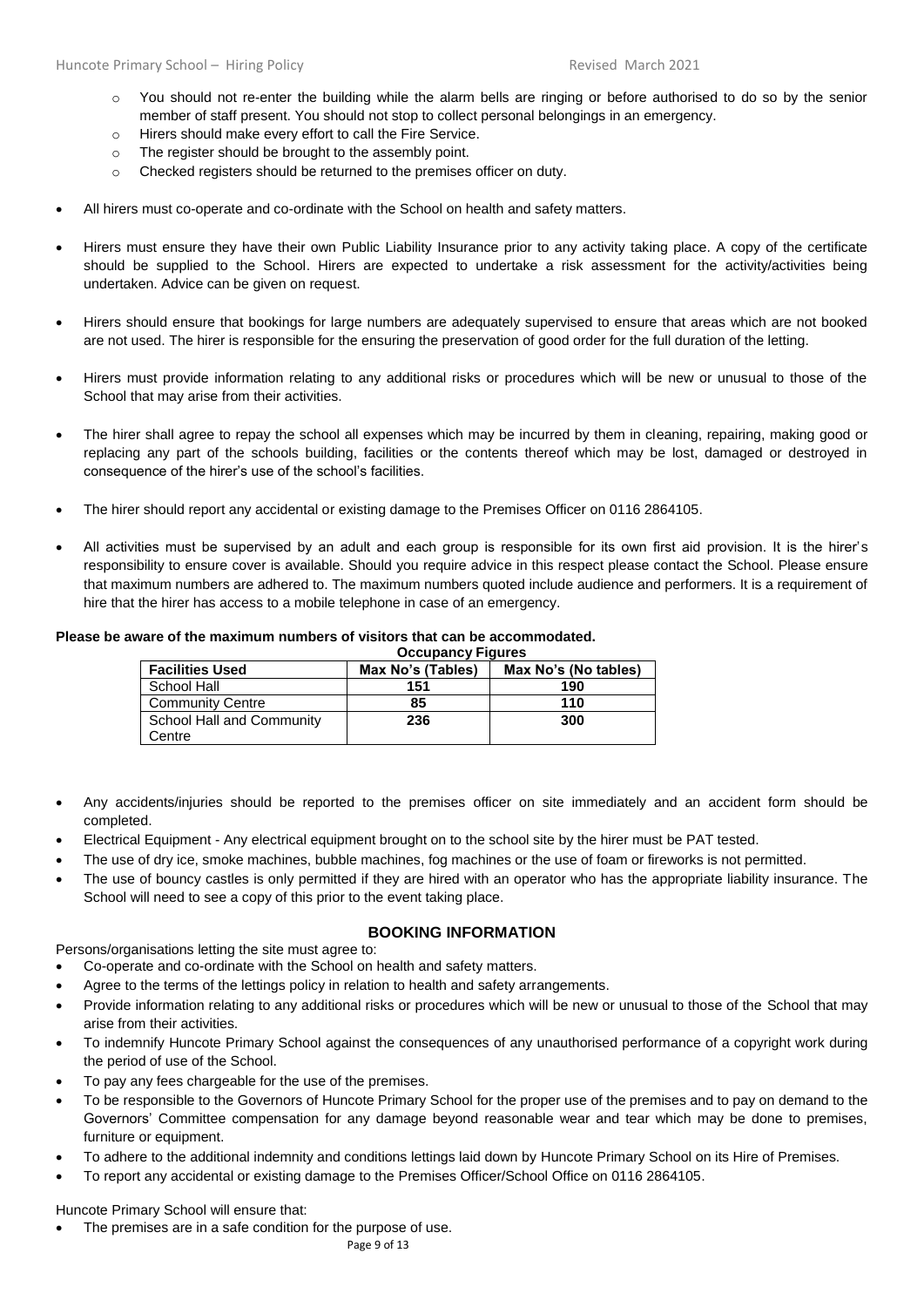- o You should not re-enter the building while the alarm bells are ringing or before authorised to do so by the senior member of staff present. You should not stop to collect personal belongings in an emergency.
- o Hirers should make every effort to call the Fire Service.
- o The register should be brought to the assembly point.
- o Checked registers should be returned to the premises officer on duty.
- All hirers must co-operate and co-ordinate with the School on health and safety matters.
- Hirers must ensure they have their own Public Liability Insurance prior to any activity taking place. A copy of the certificate should be supplied to the School. Hirers are expected to undertake a risk assessment for the activity/activities being undertaken. Advice can be given on request.
- Hirers should ensure that bookings for large numbers are adequately supervised to ensure that areas which are not booked are not used. The hirer is responsible for the ensuring the preservation of good order for the full duration of the letting.
- Hirers must provide information relating to any additional risks or procedures which will be new or unusual to those of the School that may arise from their activities.
- The hirer shall agree to repay the school all expenses which may be incurred by them in cleaning, repairing, making good or replacing any part of the schools building, facilities or the contents thereof which may be lost, damaged or destroyed in consequence of the hirer's use of the school's facilities.
- The hirer should report any accidental or existing damage to the Premises Officer on 0116 2864105.
- All activities must be supervised by an adult and each group is responsible for its own first aid provision. It is the hirer's responsibility to ensure cover is available. Should you require advice in this respect please contact the School. Please ensure that maximum numbers are adhered to. The maximum numbers quoted include audience and performers. It is a requirement of hire that the hirer has access to a mobile telephone in case of an emergency.

#### **Please be aware of the maximum numbers of visitors that can be accommodated.**

**Occupancy Figures**

| <b>Facilities Used</b>    | Max No's (Tables) | Max No's (No tables) |
|---------------------------|-------------------|----------------------|
| School Hall               | 151               | 190                  |
| <b>Community Centre</b>   | 85                | 110                  |
| School Hall and Community | 236               | 300                  |
| Centre                    |                   |                      |

- Any accidents/injuries should be reported to the premises officer on site immediately and an accident form should be completed.
- Electrical Equipment Any electrical equipment brought on to the school site by the hirer must be PAT tested.
- The use of dry ice, smoke machines, bubble machines, fog machines or the use of foam or fireworks is not permitted.
- The use of bouncy castles is only permitted if they are hired with an operator who has the appropriate liability insurance. The School will need to see a copy of this prior to the event taking place.

#### **BOOKING INFORMATION**

Persons/organisations letting the site must agree to:

- Co-operate and co-ordinate with the School on health and safety matters.
- Agree to the terms of the lettings policy in relation to health and safety arrangements.
- Provide information relating to any additional risks or procedures which will be new or unusual to those of the School that may arise from their activities.
- To indemnify Huncote Primary School against the consequences of any unauthorised performance of a copyright work during the period of use of the School.
- To pay any fees chargeable for the use of the premises.
- To be responsible to the Governors of Huncote Primary School for the proper use of the premises and to pay on demand to the Governors' Committee compensation for any damage beyond reasonable wear and tear which may be done to premises, furniture or equipment.
- To adhere to the additional indemnity and conditions lettings laid down by Huncote Primary School on its Hire of Premises.
- To report any accidental or existing damage to the Premises Officer/School Office on 0116 2864105.

Huncote Primary School will ensure that:

The premises are in a safe condition for the purpose of use.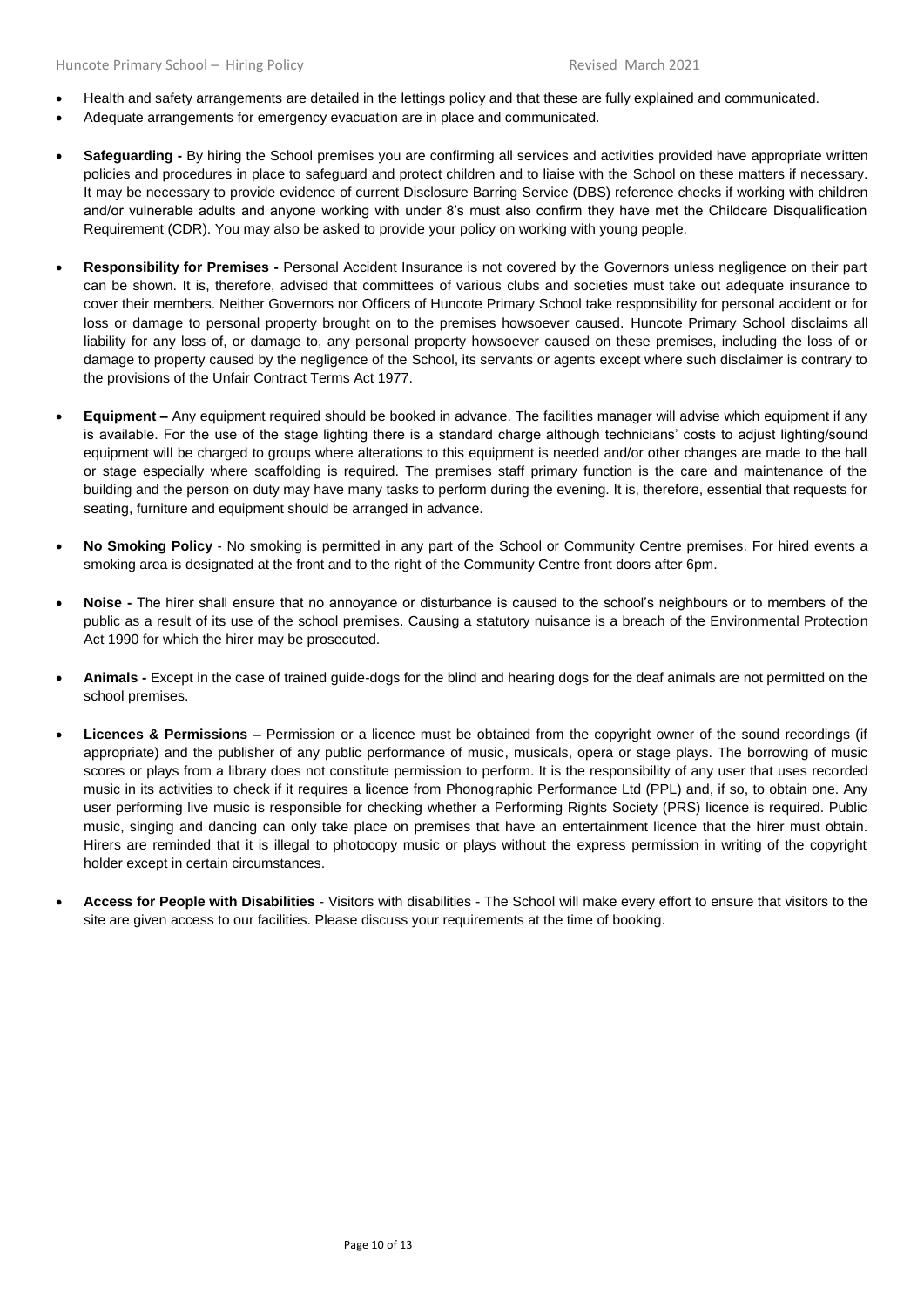- Health and safety arrangements are detailed in the lettings policy and that these are fully explained and communicated.
- Adequate arrangements for emergency evacuation are in place and communicated.
- **Safeguarding -** By hiring the School premises you are confirming all services and activities provided have appropriate written policies and procedures in place to safeguard and protect children and to liaise with the School on these matters if necessary. It may be necessary to provide evidence of current Disclosure Barring Service (DBS) reference checks if working with children and/or vulnerable adults and anyone working with under 8's must also confirm they have met the Childcare Disqualification Requirement (CDR). You may also be asked to provide your policy on working with young people.
- **Responsibility for Premises -** Personal Accident Insurance is not covered by the Governors unless negligence on their part can be shown. It is, therefore, advised that committees of various clubs and societies must take out adequate insurance to cover their members. Neither Governors nor Officers of Huncote Primary School take responsibility for personal accident or for loss or damage to personal property brought on to the premises howsoever caused. Huncote Primary School disclaims all liability for any loss of, or damage to, any personal property howsoever caused on these premises, including the loss of or damage to property caused by the negligence of the School, its servants or agents except where such disclaimer is contrary to the provisions of the Unfair Contract Terms Act 1977.
- **Equipment –** Any equipment required should be booked in advance. The facilities manager will advise which equipment if any is available. For the use of the stage lighting there is a standard charge although technicians' costs to adjust lighting/sound equipment will be charged to groups where alterations to this equipment is needed and/or other changes are made to the hall or stage especially where scaffolding is required. The premises staff primary function is the care and maintenance of the building and the person on duty may have many tasks to perform during the evening. It is, therefore, essential that requests for seating, furniture and equipment should be arranged in advance.
- **No Smoking Policy** No smoking is permitted in any part of the School or Community Centre premises. For hired events a smoking area is designated at the front and to the right of the Community Centre front doors after 6pm.
- **Noise -** The hirer shall ensure that no annoyance or disturbance is caused to the school's neighbours or to members of the public as a result of its use of the school premises. Causing a statutory nuisance is a breach of the Environmental Protection Act 1990 for which the hirer may be prosecuted.
- **Animals -** Except in the case of trained guide-dogs for the blind and hearing dogs for the deaf animals are not permitted on the school premises.
- **Licences & Permissions –** Permission or a licence must be obtained from the copyright owner of the sound recordings (if appropriate) and the publisher of any public performance of music, musicals, opera or stage plays. The borrowing of music scores or plays from a library does not constitute permission to perform. It is the responsibility of any user that uses recorded music in its activities to check if it requires a licence from Phonographic Performance Ltd (PPL) and, if so, to obtain one. Any user performing live music is responsible for checking whether a Performing Rights Society (PRS) licence is required. Public music, singing and dancing can only take place on premises that have an entertainment licence that the hirer must obtain. Hirers are reminded that it is illegal to photocopy music or plays without the express permission in writing of the copyright holder except in certain circumstances.
- **Access for People with Disabilities** Visitors with disabilities The School will make every effort to ensure that visitors to the site are given access to our facilities. Please discuss your requirements at the time of booking.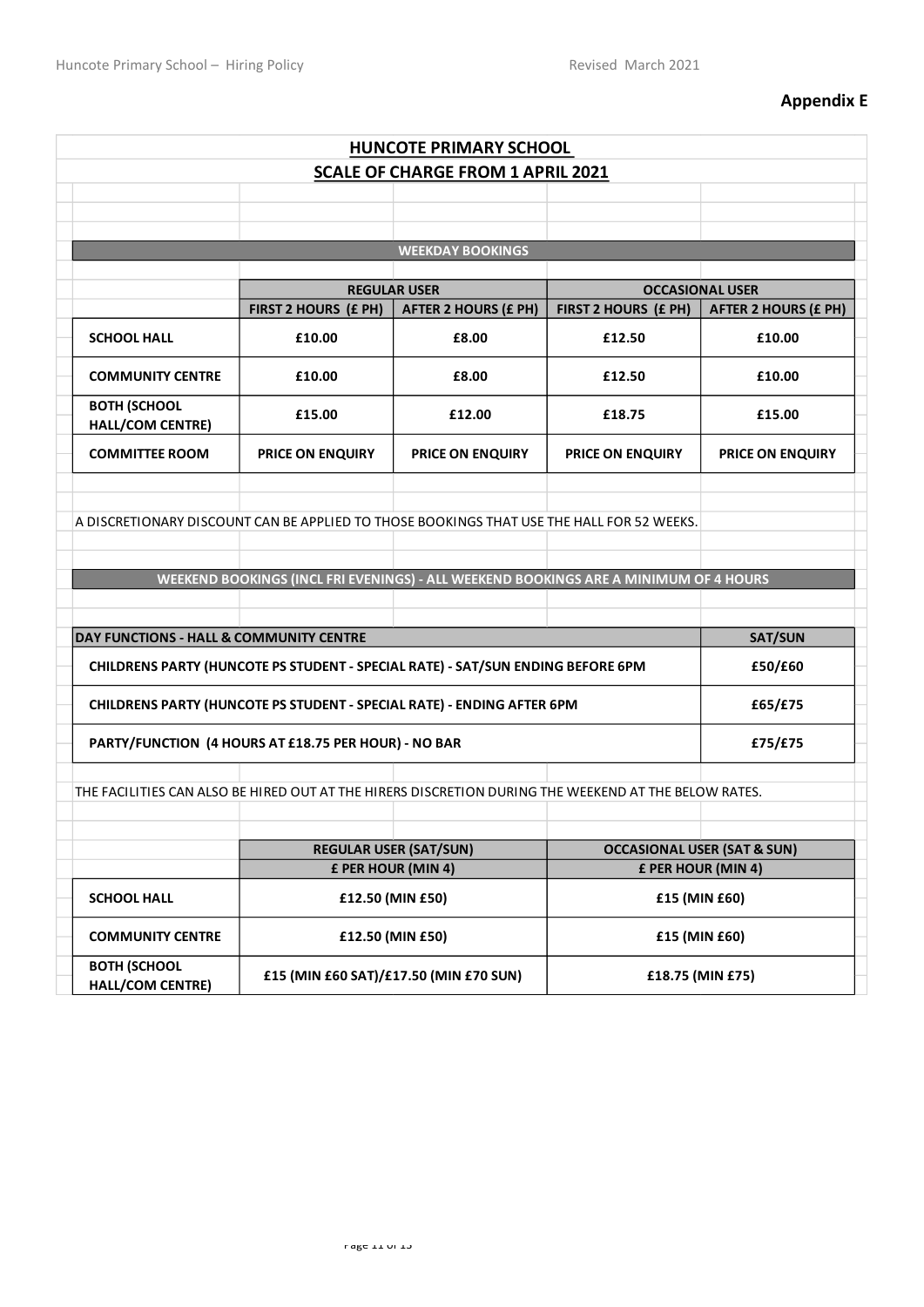## **Appendix E**

|                                                                                                      |                                        | <b>HUNCOTE PRIMARY SCHOOL</b>                                                   |                                                                                      |                                        |
|------------------------------------------------------------------------------------------------------|----------------------------------------|---------------------------------------------------------------------------------|--------------------------------------------------------------------------------------|----------------------------------------|
|                                                                                                      |                                        | <b>SCALE OF CHARGE FROM 1 APRIL 2021</b>                                        |                                                                                      |                                        |
|                                                                                                      |                                        |                                                                                 |                                                                                      |                                        |
|                                                                                                      |                                        |                                                                                 |                                                                                      |                                        |
|                                                                                                      |                                        | <b>WEEKDAY BOOKINGS</b>                                                         |                                                                                      |                                        |
|                                                                                                      |                                        |                                                                                 |                                                                                      |                                        |
|                                                                                                      |                                        | <b>REGULAR USER</b>                                                             |                                                                                      | <b>OCCASIONAL USER</b>                 |
|                                                                                                      | FIRST 2 HOURS (£ PH)                   | <b>AFTER 2 HOURS (£ PH)</b>                                                     | FIRST 2 HOURS (£ PH)                                                                 | <b>AFTER 2 HOURS (£ PH)</b>            |
| <b>SCHOOL HALL</b>                                                                                   | £10.00                                 | £8.00                                                                           | £12.50                                                                               | £10.00                                 |
| <b>COMMUNITY CENTRE</b>                                                                              | £10.00                                 | £8.00                                                                           | £12.50                                                                               | £10.00                                 |
| <b>BOTH (SCHOOL</b><br>HALL/COM CENTRE)                                                              | £15.00                                 | £12.00                                                                          | £18.75                                                                               | £15.00                                 |
| <b>COMMITTEE ROOM</b>                                                                                | PRICE ON ENQUIRY                       | <b>PRICE ON ENQUIRY</b>                                                         | PRICE ON ENQUIRY                                                                     | <b>PRICE ON ENQUIRY</b>                |
|                                                                                                      |                                        |                                                                                 | WEEKEND BOOKINGS (INCL FRI EVENINGS) - ALL WEEKEND BOOKINGS ARE A MINIMUM OF 4 HOURS |                                        |
| DAY FUNCTIONS - HALL & COMMUNITY CENTRE                                                              |                                        |                                                                                 |                                                                                      | <b>SAT/SUN</b>                         |
|                                                                                                      |                                        | CHILDRENS PARTY (HUNCOTE PS STUDENT - SPECIAL RATE) - SAT/SUN ENDING BEFORE 6PM |                                                                                      | £50/£60                                |
| CHILDRENS PARTY (HUNCOTE PS STUDENT - SPECIAL RATE) - ENDING AFTER 6PM                               |                                        |                                                                                 | £65/£75                                                                              |                                        |
| PARTY/FUNCTION (4 HOURS AT £18.75 PER HOUR) - NO BAR                                                 |                                        |                                                                                 | £75/£75                                                                              |                                        |
| THE FACILITIES CAN ALSO BE HIRED OUT AT THE HIRERS DISCRETION DURING THE WEEKEND AT THE BELOW RATES. |                                        |                                                                                 |                                                                                      |                                        |
|                                                                                                      |                                        |                                                                                 |                                                                                      |                                        |
|                                                                                                      |                                        | <b>REGULAR USER (SAT/SUN)</b>                                                   |                                                                                      |                                        |
|                                                                                                      |                                        |                                                                                 |                                                                                      | <b>OCCASIONAL USER (SAT &amp; SUN)</b> |
| <b>SCHOOL HALL</b>                                                                                   | £ PER HOUR (MIN 4)<br>£12.50 (MIN £50) |                                                                                 | £ PER HOUR (MIN 4)<br>£15 (MIN £60)                                                  |                                        |
| <b>COMMUNITY CENTRE</b>                                                                              | £12.50 (MIN £50)                       |                                                                                 | £15 (MIN £60)                                                                        |                                        |
| <b>BOTH (SCHOOL</b><br>HALL/COM CENTRE)                                                              | £15 (MIN £60 SAT)/£17.50 (MIN £70 SUN) |                                                                                 | £18.75 (MIN £75)                                                                     |                                        |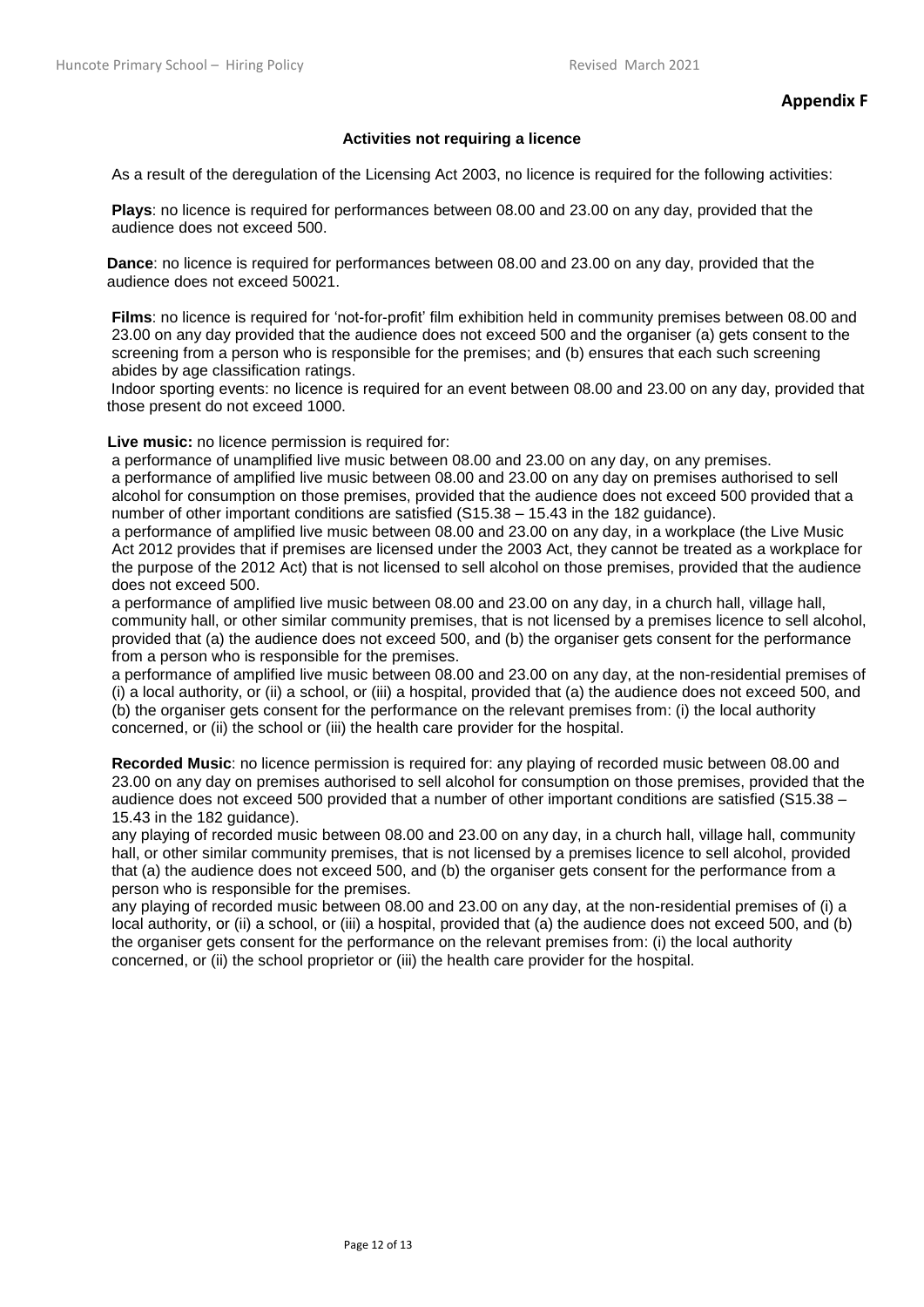## **Activities not requiring a licence**

As a result of the deregulation of the Licensing Act 2003, no licence is required for the following activities:

**Plays**: no licence is required for performances between 08.00 and 23.00 on any day, provided that the audience does not exceed 500.

**Dance**: no licence is required for performances between 08.00 and 23.00 on any day, provided that the audience does not exceed 50021.

**Films**: no licence is required for 'not-for-profit' film exhibition held in community premises between 08.00 and 23.00 on any day provided that the audience does not exceed 500 and the organiser (a) gets consent to the screening from a person who is responsible for the premises; and (b) ensures that each such screening abides by age classification ratings.

Indoor sporting events: no licence is required for an event between 08.00 and 23.00 on any day, provided that those present do not exceed 1000.

**Live music:** no licence permission is required for:

 a performance of unamplified live music between 08.00 and 23.00 on any day, on any premises. a performance of amplified live music between 08.00 and 23.00 on any day on premises authorised to sell alcohol for consumption on those premises, provided that the audience does not exceed 500 provided that a number of other important conditions are satisfied (S15.38 – 15.43 in the 182 guidance).

a performance of amplified live music between 08.00 and 23.00 on any day, in a workplace (the Live Music Act 2012 provides that if premises are licensed under the 2003 Act, they cannot be treated as a workplace for the purpose of the 2012 Act) that is not licensed to sell alcohol on those premises, provided that the audience does not exceed 500.

a performance of amplified live music between 08.00 and 23.00 on any day, in a church hall, village hall, community hall, or other similar community premises, that is not licensed by a premises licence to sell alcohol, provided that (a) the audience does not exceed 500, and (b) the organiser gets consent for the performance from a person who is responsible for the premises.

a performance of amplified live music between 08.00 and 23.00 on any day, at the non-residential premises of (i) a local authority, or (ii) a school, or (iii) a hospital, provided that (a) the audience does not exceed 500, and (b) the organiser gets consent for the performance on the relevant premises from: (i) the local authority concerned, or (ii) the school or (iii) the health care provider for the hospital.

**Recorded Music**: no licence permission is required for: any playing of recorded music between 08.00 and 23.00 on any day on premises authorised to sell alcohol for consumption on those premises, provided that the audience does not exceed 500 provided that a number of other important conditions are satisfied (S15.38 – 15.43 in the 182 guidance).

any playing of recorded music between 08.00 and 23.00 on any day, in a church hall, village hall, community hall, or other similar community premises, that is not licensed by a premises licence to sell alcohol, provided that (a) the audience does not exceed 500, and (b) the organiser gets consent for the performance from a person who is responsible for the premises.

any playing of recorded music between 08.00 and 23.00 on any day, at the non-residential premises of (i) a local authority, or (ii) a school, or (iii) a hospital, provided that (a) the audience does not exceed 500, and (b) the organiser gets consent for the performance on the relevant premises from: (i) the local authority concerned, or (ii) the school proprietor or (iii) the health care provider for the hospital.